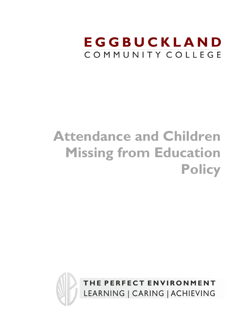## EGGBUCKLAND COMMUNITY COLLEGE

# **Attendance and Children Missing from Education Policy**

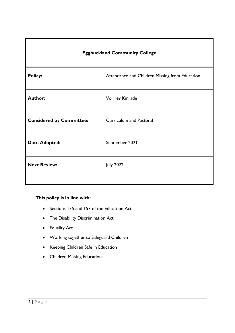| <b>Eggbuckland Community College</b> |                                                |  |
|--------------------------------------|------------------------------------------------|--|
| <b>Policy:</b>                       | Attendance and Children Missing from Education |  |
| <b>Author:</b>                       | Voirrey Kinrade                                |  |
| <b>Considered by Committee:</b>      | <b>Curriculum and Pastoral</b>                 |  |
| <b>Date Adopted:</b>                 | September 2021                                 |  |
| <b>Next Review:</b>                  | <b>July 2022</b>                               |  |

## **This policy is in line with:**

- Sections 175 and 157 of the Education Act
- The Disability Discrimination Act
- Equality Act
- Working together to Safeguard Children
- Keeping Children Safe in Education
- Children Missing Education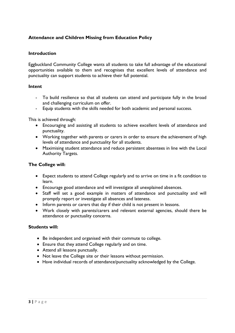## **Attendance and Children Missing from Education Policy**

## **Introduction**

Eggbuckland Community College wants all students to take full advantage of the educational opportunities available to them and recognises that excellent levels of attendance and punctuality can support students to achieve their full potential.

#### **Intent**

- To build resilience so that all students can attend and participate fully in the broad and challenging curriculum on offer.
- Equip students with the skills needed for both academic and personal success.

This is achieved through:

- Encouraging and assisting all students to achieve excellent levels of attendance and punctuality.
- Working together with parents or carers in order to ensure the achievement of high levels of attendance and punctuality for all students.
- Maximising student attendance and reduce persistent absentees in line with the Local Authority Targets.

## **The College will:**

- Expect students to attend College regularly and to arrive on time in a fit condition to learn.
- Encourage good attendance and will investigate all unexplained absences.
- Staff will set a good example in matters of attendance and punctuality and will promptly report or investigate all absences and lateness.
- Inform parents or carers that day if their child is not present in lessons.
- Work closely with parents/carers and relevant external agencies, should there be attendance or punctuality concerns.

#### **Students will:**

- Be independent and organised with their commute to college.
- Ensure that they attend College regularly and on time.
- Attend all lessons punctually.
- Not leave the College site or their lessons without permission.
- Have individual records of attendance/punctuality acknowledged by the College.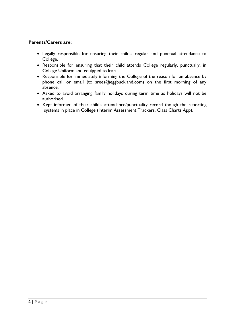## **Parents/Carers are:**

- Legally responsible for ensuring their child's regular and punctual attendance to College.
- Responsible for ensuring that their child attends College regularly, punctually, in College Uniform and equipped to learn.
- Responsible for immediately informing the College of the reason for an absence by phone call or email (to srees@eggbuckland.com) on the first morning of any absence.
- Asked to avoid arranging family holidays during term time as holidays will not be authorised.
- Kept informed of their child's attendance/punctuality record though the reporting systems in place in College (Interim Assessment Trackers, Class Charts App).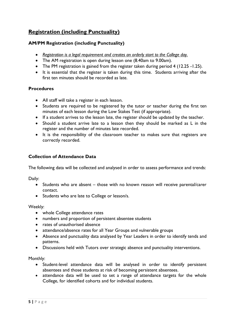## **Registration (including Punctuality)**

## **AM/PM Registration (including Punctuality)**

- *Registration is a legal requirement and creates an orderly start to the College day.*
- The AM registration is open during lesson one (8.40am to 9.00am).
- The PM registration is gained from the register taken during period 4 (12.25 -1.25).
- It is essential that the register is taken during this time. Students arriving after the first ten minutes should be recorded as late.

## **Procedures**

- All staff will take a register in each lesson.
- Students are required to be registered by the tutor or teacher during the first ten minutes of each lesson during the Low Stakes Test (if appropriate).
- If a student arrives to the lesson late, the register should be updated by the teacher.
- Should a student arrive late to a lesson then they should be marked as L in the register and the number of minutes late recorded.
- It is the responsibility of the classroom teacher to makes sure that registers are correctly recorded.

## **Collection of Attendance Data**

The following data will be collected and analysed in order to assess performance and trends:

Daily:

- Students who are absent those with no known reason will receive parental/carer contact.
- Students who are late to College or lesson/s.

#### Weekly:

- whole College attendance rates
- numbers and proportion of persistent absentee students
- rates of unauthorised absence
- attendance/absence rates for all Year Groups and vulnerable groups
- Absence and punctuality data analysed by Year Leaders in order to identify tends and patterns.
- Discussions held with Tutors over strategic absence and punctuality interventions.

Monthly:

- Student-level attendance data will be analysed in order to identify persistent absentees and those students at risk of becoming persistent absentees.
- attendance data will be used to set a range of attendance targets for the whole College, for identified cohorts and for individual students.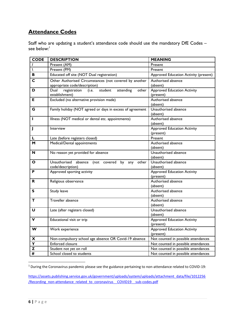## **Attendance Codes**

Staff who are updating a student's attendance code should use the mandatory DfE Codes – see below: 1

| <b>CODE</b>             | <b>DESCRIPTION</b>                                                        | <b>MEANING</b>                                  |
|-------------------------|---------------------------------------------------------------------------|-------------------------------------------------|
|                         | Present (AM)                                                              | Present                                         |
|                         | Present (PM)                                                              | Present                                         |
| в                       | Educated off site (NOT Dual registration)                                 | Approved Education Activity (present)           |
| С                       | Other Authorised Circumstances (not covered by another                    | Authorised absence                              |
|                         | appropriate code/description)                                             | (absent)                                        |
| D                       | Dual<br>registration<br>student<br>attending<br>(i.e.<br>other            | <b>Approved Education Activity</b>              |
|                         | establishment)                                                            | (present)                                       |
| Е                       | Excluded (no alternative provision made)                                  | Authorised absence                              |
|                         |                                                                           | (absent)                                        |
| G                       | Family holiday (NOT agreed or days in excess of agreement                 | Unauthorised absence                            |
|                         |                                                                           | (absent)                                        |
| L                       | Illness (NOT medical or dental etc. appointments)                         | Authorised absence                              |
|                         |                                                                           | (absent)                                        |
| J                       | Interview                                                                 | <b>Approved Education Activity</b>              |
|                         |                                                                           | (present)                                       |
| L                       | Late (before registers closed)                                            | Present                                         |
| M                       | Medical/Dental appointments                                               | Authorised absence                              |
|                         |                                                                           | (absent)                                        |
| N                       | No reason yet provided for absence                                        | Unauthorised absence                            |
|                         |                                                                           | (absent)                                        |
| O                       | Unauthorised absence (not covered by<br>other<br>any<br>code/description) | Unauthorised absence                            |
| P                       |                                                                           | (absent)                                        |
|                         | Approved sporting activity                                                | <b>Approved Education Activity</b><br>(present) |
| R                       | Religious observance                                                      | Authorised absence                              |
|                         |                                                                           | (absent)                                        |
| s                       | Study leave                                                               | Authorised absence                              |
|                         |                                                                           | (absent)                                        |
| т                       | Traveller absence                                                         | Authorised absence                              |
|                         |                                                                           | (absent)                                        |
| U                       | Late (after registers closed)                                             | Unauthorised absence                            |
|                         |                                                                           | (absent)                                        |
| v                       | Educational visit or trip                                                 | <b>Approved Education Activity</b>              |
|                         |                                                                           | (present)                                       |
| W                       | Work experience                                                           | <b>Approved Education Activity</b>              |
|                         |                                                                           | (present)                                       |
| X                       | Non-compulsory school age absence OR Covid-19 absence                     | Not counted in possible attendances             |
| $\overline{\mathsf{Y}}$ | Enforced closure                                                          | Not counted in possible attendances             |
| Z                       | Student not yet on roll                                                   | Not counted in possible attendances             |
| #                       | School closed to students                                                 | Not counted in possible attendances             |

<sup>1</sup> During the Coronavirus pandemic please see the guidance pertaining to non-attendance related to COVID-19:

[https://assets.publishing.service.gov.uk/government/uploads/system/uploads/attachment\\_data/file/1012256](https://assets.publishing.service.gov.uk/government/uploads/system/uploads/attachment_data/file/1012256/Recording_non-attendance_related_to_coronavirus__COVID19__sub-codes.pdf) [/Recording\\_non-attendance\\_related\\_to\\_coronavirus\\_\\_COVID19\\_\\_sub-codes.pdf](https://assets.publishing.service.gov.uk/government/uploads/system/uploads/attachment_data/file/1012256/Recording_non-attendance_related_to_coronavirus__COVID19__sub-codes.pdf)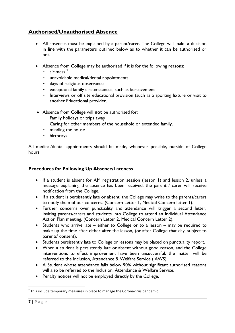## **Authorised/Unauthorised Absence**

- All absences must be explained by a parent/carer. The College will make a decision in line with the parameters outlined below as to whether it can be authorised or not.
- Absence from College may be authorised if it is for the following reasons:
	- $-$  sickness<sup>2</sup>
	- unavoidable medical/dental appointments
	- days of religious observance
	- exceptional family circumstances, such as bereavement
	- Interviews or off site educational provision (such as a sporting fixture or visit to another Educational provider.
- Absence from College will **not** be authorised for:
	- Family holidays or trips away
	- Caring for other members of the household or extended family.
	- minding the house
	- birthdays.

All medical/dental appointments should be made, whenever possible, outside of College hours.

## **Procedures for Following Up Absence/Lateness**

- If a student is absent for AM registration session (lesson 1) and lesson 2, unless a message explaining the absence has been received, the parent / carer will receive notification from the College.
- If a student is persistently late or absent, the College may write to the parents/carers to notify them of our concerns. (Concern Letter 1, Medical Concern letter 1).
- Further concerns over punctuality and attendance will trigger a second letter, inviting parents/carers and students into College to attend an Individual Attendance Action Plan meeting. (Concern Letter 2, Medical Concern Letter 2).
- Students who arrive late either to College or to a lesson may be required to make up the time after either after the lesson, (or after College that day, subject to parents' consent).
- Students persistently late to College or lessons may be placed on punctuality report.
- When a student is persistently late or absent without good reason, and the College interventions to effect improvement have been unsuccessful, the matter will be referred to the Inclusion, Attendance & Welfare Service (IAWS).
- A Student whose attendance falls below 90% without significant authorised reasons will also be referred to the Inclusion, Attendance & Welfare Service.
- Penalty notices will not be employed directly by the College.

<sup>&</sup>lt;sup>2</sup> This include temporary measures in place to manage the Coronavirus pandemic.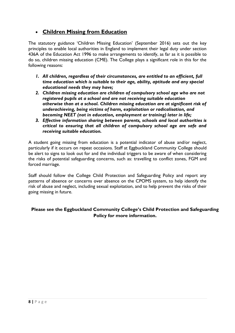## • **Children Missing from Education**

The statutory guidance 'Children Missing Education' (September 2016) sets out the key principles to enable local authorities in England to implement their legal duty under section 436A of the Education Act 1996 to make arrangements to identify, as far as it is possible to do so, children missing education (CME). The College plays a significant role in this for the following reasons:

- *1. All children, regardless of their circumstances, are entitled to an efficient, full time education which is suitable to their age, ability, aptitude and any special educational needs they may have;*
- *2. Children missing education are children of compulsory school age who are not registered pupils at a school and are not receiving suitable education otherwise than at a school. Children missing education are at significant risk of underachieving, being victims of harm, exploitation or radicalisation, and becoming NEET (not in education, employment or training) later in life;*
- *3. Effective information sharing between parents, schools and local authorities is critical to ensuring that all children of compulsory school age are safe and receiving suitable education.*

A student going missing from education is a potential indicator of abuse and/or neglect, particularly if it occurs on repeat occasions. Staff at Eggbuckland Community College should be alert to signs to look out for and the individual triggers to be aware of when considering the risks of potential safeguarding concerns, such as: travelling to conflict zones, FGM and forced marriage.

Staff should follow the College Child Protection and Safeguarding Policy and report any patterns of absence or concerns over absence on the CPOMS system, to help identify the risk of abuse and neglect, including sexual exploitation, and to help prevent the risks of their going missing in future.

## **Please see the Eggbuckland Community College's Child Protection and Safeguarding Policy for more information.**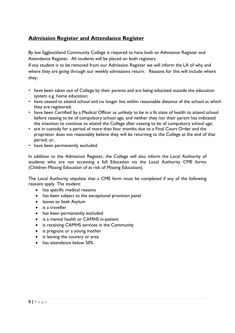## **Admission Register and Attendance Register**

By law Eggbuckland Community College is required to have both an Admission Register and Attendance Register. All students will be placed on both registers

If any student is to be removed from our Admission Register we will inform the LA of why and where they are going through our weekly admissions return. Reasons for this will include where they:

- have been taken out of College by their parents and are being educated outside the education system e.g. home education;
- have ceased to attend school and no longer live within reasonable distance of the school at which they are registered;
- have been Certified by a Medical Officer as unlikely to be in a fit state of health to attend school before ceasing to be of compulsory school age, and neither they nor their parent has indicated the intention to continue to attend the College after ceasing to be of compulsory school age;
- are in custody for a period of more than four months due to a Final Court Order and the proprietor does not reasonably believe they will be returning to the College at the end of that period; or,
- have been permanently excluded.

In addition to the Admission Register, the College will also inform the Local Authority of students who are not accessing a full Education via the Local Authority CME forms (Children Missing Education of at risk of Missing Education).

The Local Authority stipulate that a CME form must be completed if any of the following reasons apply. The student:

- has specific medical reasons
- has been subject to the exceptional provision panel
- leaves to Seek Asylum
- is a traveller
- has been permanently excluded
- is a mental health or CAMHS in-patient
- is receiving CAMHS services in the Community
- is pregnant or a young mother
- is leaving the country or area
- has attendance below 50%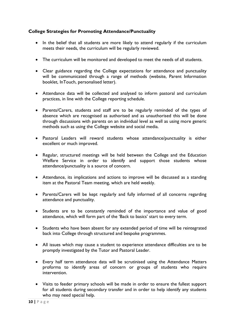## **College Strategies for Promoting Attendance/Punctuality**

- In the belief that all students are more likely to attend regularly if the curriculum meets their needs, the curriculum will be regularly reviewed.
- The curriculum will be monitored and developed to meet the needs of all students.
- Clear guidance regarding the College expectations for attendance and punctuality will be communicated through a range of methods (website, Parent Information booklet, InTouch, personalised letter).
- Attendance data will be collected and analysed to inform pastoral and curriculum practices, in line with the College reporting schedule.
- Parents/Carers, students and staff are to be regularly reminded of the types of absence which are recognised as authorised and as unauthorised this will be done through discussions with parents on an individual level as well as using more generic methods such as using the College website and social media.
- Pastoral Leaders will reward students whose attendance/punctuality is either excellent or much improved.
- Regular, structured meetings will be held between the College and the Education Welfare Service in order to identify and support those students whose attendance/punctuality is a source of concern.
- Attendance, its implications and actions to improve will be discussed as a standing item at the Pastoral Team meeting, which are held weekly.
- Parents/Carers will be kept regularly and fully informed of all concerns regarding attendance and punctuality.
- Students are to be constantly reminded of the importance and value of good attendance, which will form part of the 'Back to basics' start to every term.
- Students who have been absent for any extended period of time will be reintegrated back into College through structured and bespoke programmes.
- All issues which may cause a student to experience attendance difficulties are to be promptly investigated by the Tutor and Pastoral Leader.
- Every half term attendance data will be scrutinised using the Attendance Matters proforma to identify areas of concern or groups of students who require intervention.
- Visits to feeder primary schools will be made in order to ensure the fullest support for all students during secondary transfer and in order to help identify any students who may need special help.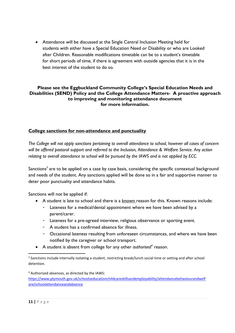• Attendance will be discussed at the Single Central Inclusion Meeting held for students with either have a Special Education Need or Disability or who are Looked after Children. Reasonable modifications timetable can be to a student's timetable for short periods of time, if there is agreement with outside agencies that it is in the best interest of the student to do so.

## **Please see the Eggbuckland Community College's Special Education Needs and Disabilities (SEND) Policy and the College Attendance Matters- A proactive approach to improving and monitoring attendance document for more information.**

## **College sanctions for non-attendance and punctuality**

*The College will not apply sanctions pertaining to overall attendance to school, however all cases of concern will be offered pastoral support and referred to the Inclusion, Attendance & Welfare Service. Any action relating to overall attendance to school will be pursued by the IAWS and is not applied by ECC.* 

Sanctions<sup>3</sup> are to be applied on a case by case basis, considering the specific contextual background and needs of the student. Any sanctions applied will be done so in a fair and supportive manner to deter poor punctuality and attendance habits.

Sanctions will not be applied if:

- A student is late to school and there is a known reason for this. Known reasons include:
	- Lateness for a medical/dental appointment where we have been advised by a parent/carer.
	- Lateness for a pre-agreed interview, religious observance or sporting event.
	- A student has a confirmed absence for illness.
	- Occasional lateness resulting from unforeseen circumstances, and where we have been notified by the caregiver or school transport.
- A student is absent from college for any other *authorised<sup>4</sup>* reason.

<sup>4</sup> Authorised absences, as directed by the IAWS:

[https://www.plymouth.gov.uk/schoolseducationchildcareskillsandemployability/attendancebehaviourandwelf](https://www.plymouth.gov.uk/schoolseducationchildcareskillsandemployability/attendancebehaviourandwelfare/schoolattendanceandabsence) [are/schoolattendanceandabsence](https://www.plymouth.gov.uk/schoolseducationchildcareskillsandemployability/attendancebehaviourandwelfare/schoolattendanceandabsence)

<sup>&</sup>lt;sup>3</sup> Sanctions include internally isolating a student, restricting break/lunch social time or setting and after school detention.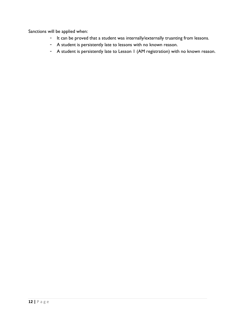Sanctions will be applied when:

- It can be proved that a student was internally/externally truanting from lessons.
- A student is persistently late to lessons with no known reason.
- A student is persistently late to Lesson 1 (AM registration) with no known reason.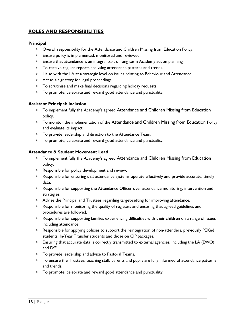## **ROLES AND RESPONSIBILITIES**

## **Principal**

- Overall responsibility for the Attendance and Children Missing from Education Policy.
- Ensure policy is implemented, monitored and reviewed.
- Ensure that attendance is an integral part of long term Academy action planning.
- To receive regular reports analysing attendance patterns and trends.
- Liaise with the LA at a strategic level on issues relating to Behaviour and Attendance.
- Act as a signatory for legal proceedings.
- To scrutinise and make final decisions regarding holiday requests.
- To promote, celebrate and reward good attendance and punctuality.

## **Assistant Principal: Inclusion**

- To implement fully the Academy's agreed Attendance and Children Missing from Education policy.
- To monitor the implementation of the Attendance and Children Missing from Education Policy and evaluate its impact.
- To provide leadership and direction to the Attendance Team.
- To promote, celebrate and reward good attendance and punctuality.

## **Attendance & Student Movement Lead**

- To implement fully the Academy's agreed Attendance and Children Missing from Education policy.
- Responsible for policy development and review.
- Responsible for ensuring that attendance systems operate effectively and provide accurate, timely data.
- Responsible for supporting the Attendance Officer over attendance monitoring, intervention and strategies.
- Advise the Principal and Trustees regarding target-setting for improving attendance.
- Responsible for monitoring the quality of registers and ensuring that agreed guidelines and procedures are followed.
- Responsible for supporting families experiencing difficulties with their children on a range of issues including attendance.
- Responsible for applying policies to support the reintegration of non-attenders, previously PEXed students, In-Year Transfer students and those on CIP packages.
- Ensuring that accurate data is correctly transmitted to external agencies, including the LA (EWO) and DfE.
- To provide leadership and advice to Pastoral Teams.
- To ensure the Trustees, teaching staff, parents and pupils are fully informed of attendance patterns and trends.
- To promote, celebrate and reward good attendance and punctuality.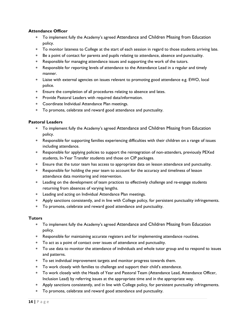## **Attendance Officer**

- To implement fully the Academy's agreed Attendance and Children Missing from Education policy.
- To monitor lateness to College at the start of each session in regard to those students arriving late.
- Be a point of contact for parents and pupils relating to attendance, absence and punctuality.
- Responsible for managing attendance issues and supporting the work of the tutors.
- Responsible for reporting levels of attendance to the Attendance Lead in a regular and timely manner.
- Liaise with external agencies on issues relevant to promoting good attendance e.g. EWO, local police.
- Ensure the completion of all procedures relating to absence and lates.
- Provide Pastoral Leaders with required data/information.
- Coordinate Individual Attendance Plan meetings.
- To promote, celebrate and reward good attendance and punctuality.

## **Pastoral Leaders**

- To implement fully the Academy's agreed Attendance and Children Missing from Education policy.
- Responsible for supporting families experiencing difficulties with their children on a range of issues including attendance.
- Responsible for applying policies to support the reintegration of non-attenders, previously PEXed students, In-Year Transfer students and those on CIP packages.
- Ensure that the tutor team has access to appropriate data on lesson attendance and punctuality.
- Responsible for holding the year team to account for the accuracy and timeliness of lesson attendance data monitoring and intervention.
- Leading on the development of team practices to effectively challenge and re-engage students returning from absences of varying lengths.
- Leading and acting on Individual Attendance Plan meetings.
- Apply sanctions consistently, and in line with College policy, for persistent punctuality infringements.
- To promote, celebrate and reward good attendance and punctuality.

#### **Tutors**

- To implement fully the Academy's agreed Attendance and Children Missing from Education policy.
- Responsible for maintaining accurate registers and for implementing attendance routines.
- To act as a point of contact over issues of attendance and punctuality.
- To use data to monitor the attendance of individuals and whole tutor group and to respond to issues and patterns.
- To set individual improvement targets and monitor progress towards them.
- To work closely with families to challenge and support their child's attendance.
- To work closely with the Heads of Year and Pastoral Team (Attendance Lead, Attendance Officer, Inclusion Lead) by referring issues at the appropriate time and in the appropriate way.
- Apply sanctions consistently, and in line with College policy, for persistent punctuality infringements.
- To promote, celebrate and reward good attendance and punctuality.